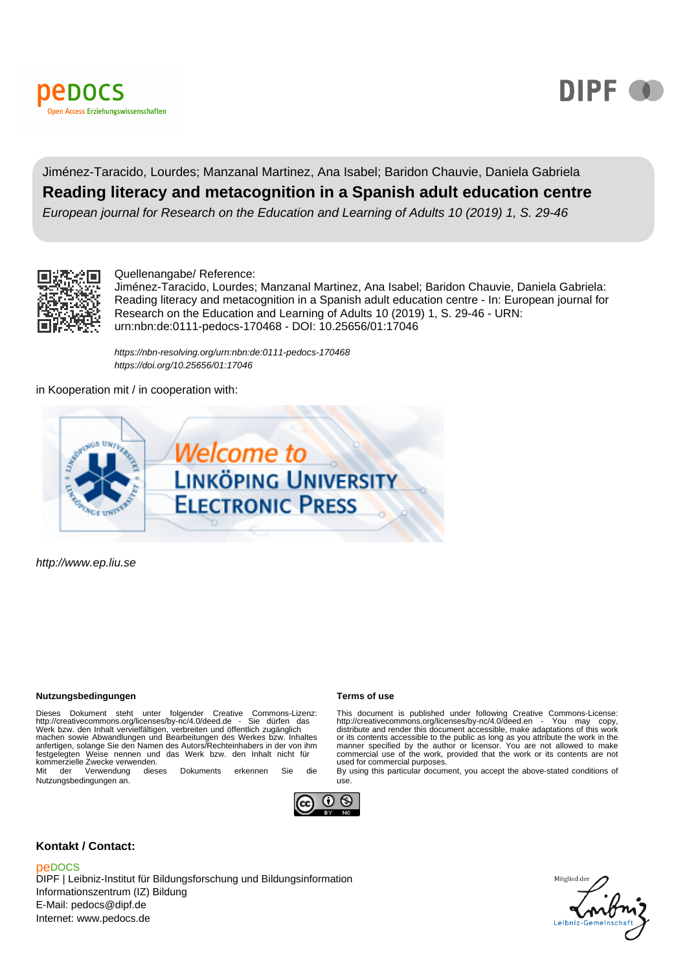



### Jiménez-Taracido, Lourdes; Manzanal Martinez, Ana Isabel; Baridon Chauvie, Daniela Gabriela **Reading literacy and metacognition in a Spanish adult education centre** European journal for Research on the Education and Learning of Adults 10 (2019) 1, S. 29-46

#### Quellenangabe/ Reference:

Jiménez-Taracido, Lourdes; Manzanal Martinez, Ana Isabel; Baridon Chauvie, Daniela Gabriela: Reading literacy and metacognition in a Spanish adult education centre - In: European journal for Research on the Education and Learning of Adults 10 (2019) 1, S. 29-46 - URN: urn:nbn:de:0111-pedocs-170468 - DOI: 10.25656/01:17046

<https://nbn-resolving.org/urn:nbn:de:0111-pedocs-170468> <https://doi.org/10.25656/01:17046>

in Kooperation mit / in cooperation with:



http://www.ep.liu.se

#### **Nutzungsbedingungen Terms of use**

Dieses Dokument steht unter folgender Creative Commons-Lizenz:<br>http://creativecommons.org/licenses/by-nc/4.0/deed.de - Sie dürfen das<br>Werk bzw. den Inhalt vervielfältigen, verbreiten und öffentlich zugänglich werk bzw. den ninalt vervienaligen, verbreiten und bientlich zuganglicht machen sowie Abwandlungen und Bearbeitungen des Werkes bzw. Inhaltes anfertigen, solange Sie den Namen des Autors/Rechteinhabers in der von ihm festgelegten Weise nennen und das Werk bzw. den Inhalt nicht für kommerzielle Zwecke verwenden. Mit der Verwendung dieses Dokuments erkennen Sie die

Nutzungsbedingungen an.



#### **Kontakt / Contact:**

#### peDOCS

DIPF | Leibniz-Institut für Bildungsforschung und Bildungsinformation Informationszentrum (IZ) Bildung E-Mail: pedocs@dipf.de Internet: www.pedocs.de

This document is published under following Creative Commons-License: http://creativecommons.org/licenses/by-nc/4.0/deed.en - You may copy, distribute and render this document accessible, make adaptations of this work<br>distribute and render this document accessible, make adaptations of this work or its contents accessible to the public as long as you attribute the work in the manner specified by the author or licensor. You are not allowed to make manner specified by the author or licensor. You are not allowed to make commercial use of the work, provided that the work or its contents are not used for commercial purposes.

By using this particular document, you accept the above-stated conditions of use.

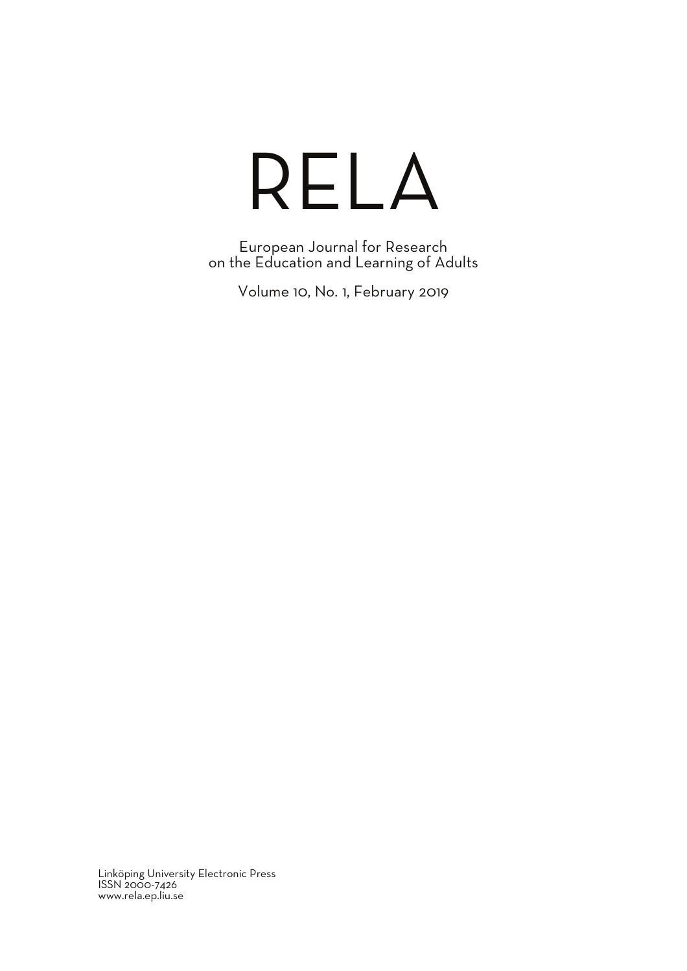# RELA

European Journal for Research on the Education and Learning of Adults

Volume 10, No. 1, February 2019

Linköping University Electronic Press ISSN 2000-7426 www.rela.ep.liu.se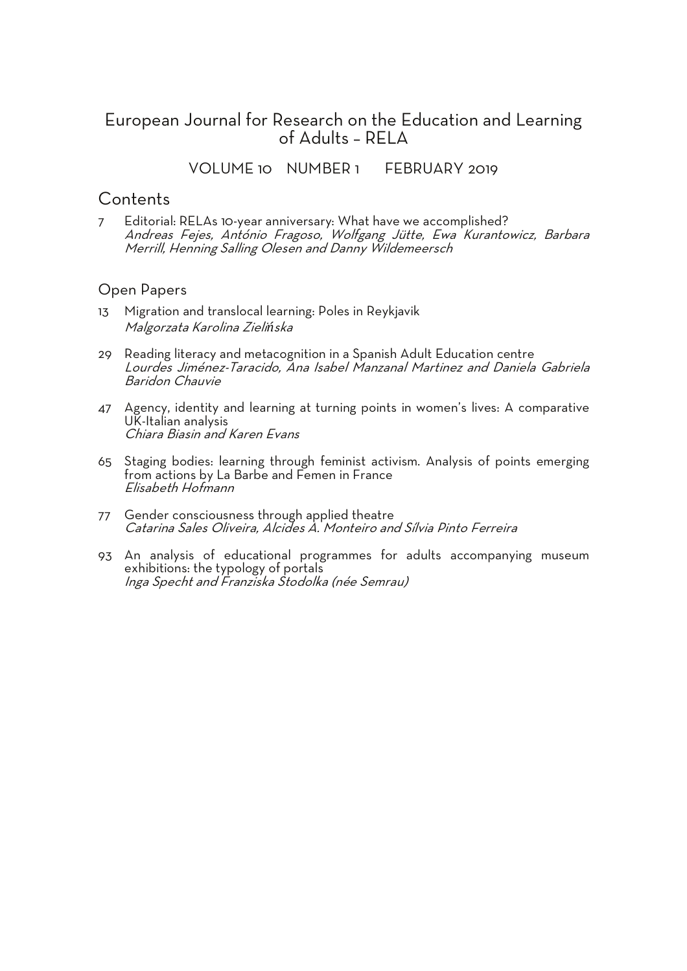### European Journal for Research on the Education and Learning of Adults - RFI  $\Delta$

VOLUME 10 NUMBER 1 FEBRUARY 2019

#### **Contents**

7 Editorial: RELAs 10-year anniversary: What have we accomplished? Andreas Fejes, António Fragoso, Wolfgang Jütte, Ewa Kurantowicz, Barbara Merrill, Henning Salling Olesen and Danny Wildemeersch

#### Open Papers

- 13 Migration and translocal learning: Poles in Reykjavik Malgorzata Karolina Zielińska
- 29 Reading literacy and metacognition in a Spanish Adult Education centre Lourdes Jiménez-Taracido, Ana Isabel Manzanal Martinez and Daniela Gabriela Baridon Chauvie
- 47 Agency, identity and learning at turning points in women's lives: A comparative UK-Italian analysis Chiara Biasin and Karen Evans
- 65 Staging bodies: learning through feminist activism. Analysis of points emerging from actions by La Barbe and Femen in France<br>Flisabeth Hofmann
- 77 Gender consciousness through applied theatre Catarina Sales Oliveira, Alcides A. Monteiro and Sílvia Pinto Ferreira
- 93 An analysis of educational programmes for adults accompanying museum exhibitions: the typology of portals Inga Specht and Franziska Stodolka (née Semrau)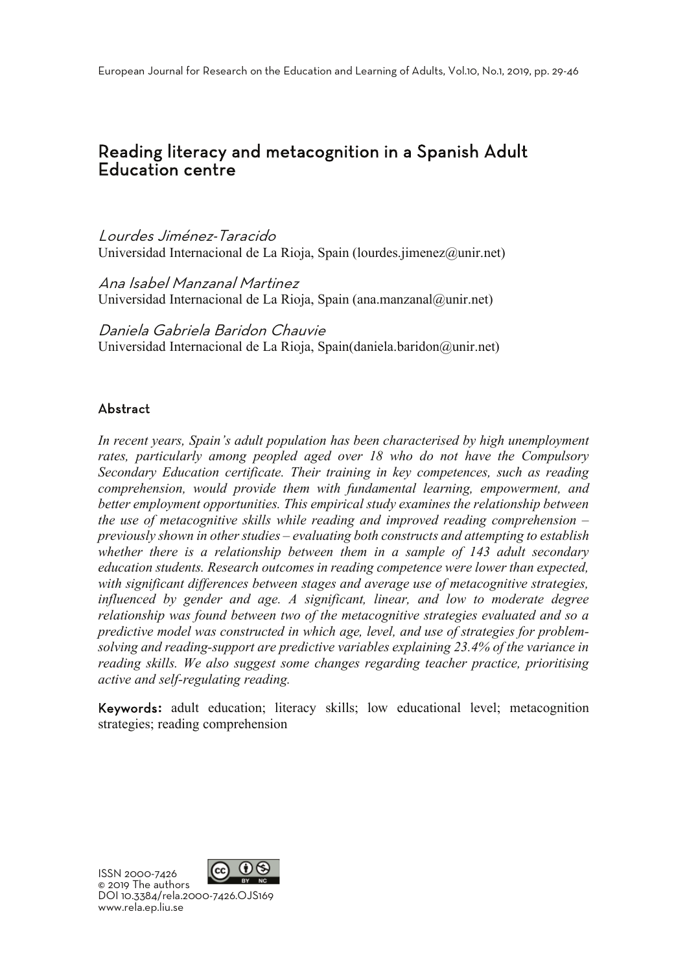## Reading literacy and metacognition in a Spanish Adult Education centre

Lourdes Jiménez-Taracido Universidad Internacional de La Rioja, Spain (lourdes.jimenez@unir.net)

Ana Isabel Manzanal Martinez Universidad Internacional de La Rioja, Spain (ana.manzanal@unir.net)

Daniela Gabriela Baridon Chauvie Universidad Internacional de La Rioja, Spain(daniela.baridon@unir.net)

#### Abstract

*In recent years, Spain's adult population has been characterised by high unemployment rates, particularly among peopled aged over 18 who do not have the Compulsory Secondary Education certificate. Their training in key competences, such as reading comprehension, would provide them with fundamental learning, empowerment, and better employment opportunities. This empirical study examines the relationship between the use of metacognitive skills while reading and improved reading comprehension – previously shown in other studies – evaluating both constructs and attempting to establish whether there is a relationship between them in a sample of 143 adult secondary education students. Research outcomes in reading competence were lower than expected, with significant differences between stages and average use of metacognitive strategies, influenced by gender and age. A significant, linear, and low to moderate degree relationship was found between two of the metacognitive strategies evaluated and so a predictive model was constructed in which age, level, and use of strategies for problemsolving and reading-support are predictive variables explaining 23.4% of the variance in reading skills. We also suggest some changes regarding teacher practice, prioritising active and self-regulating reading.* 

Keywords**:** adult education; literacy skills; low educational level; metacognition strategies; reading comprehension

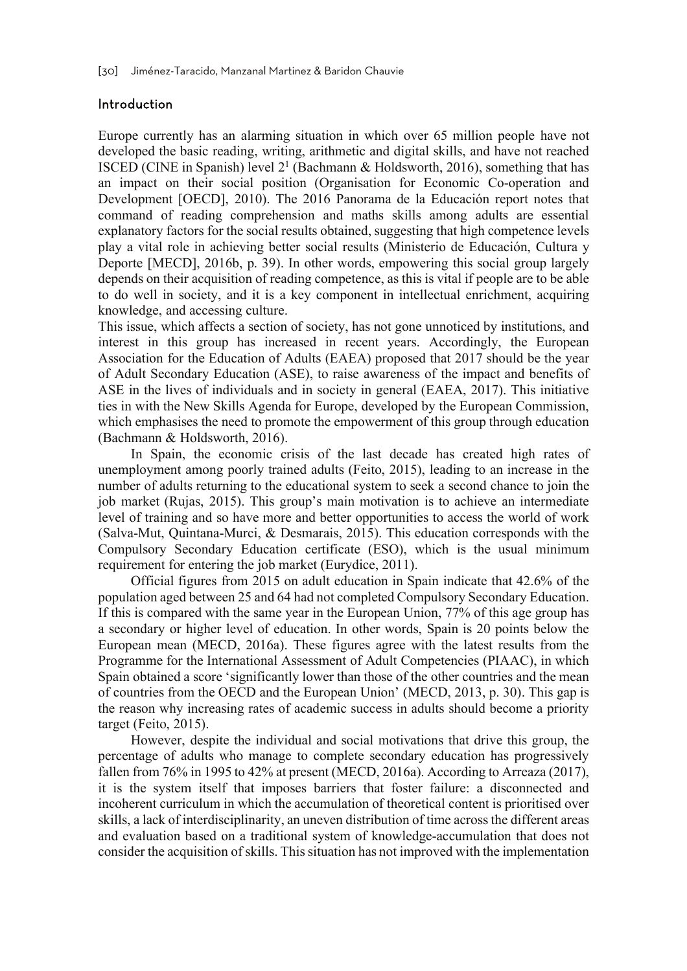#### Introduction

Europe currently has an alarming situation in which over 65 million people have not developed the basic reading, writing, arithmetic and digital skills, and have not reached ISCED (CINE in Spanish) level  $2<sup>1</sup>$  (Bachmann & Holdsworth, 2016), something that has an impact on their social position (Organisation for Economic Co-operation and Development [OECD], 2010). The 2016 Panorama de la Educación report notes that command of reading comprehension and maths skills among adults are essential explanatory factors for the social results obtained, suggesting that high competence levels play a vital role in achieving better social results (Ministerio de Educación, Cultura y Deporte [MECD], 2016b, p. 39). In other words, empowering this social group largely depends on their acquisition of reading competence, as this is vital if people are to be able to do well in society, and it is a key component in intellectual enrichment, acquiring knowledge, and accessing culture.

This issue, which affects a section of society, has not gone unnoticed by institutions, and interest in this group has increased in recent years. Accordingly, the European Association for the Education of Adults (EAEA) proposed that 2017 should be the year of Adult Secondary Education (ASE), to raise awareness of the impact and benefits of ASE in the lives of individuals and in society in general (EAEA, 2017). This initiative ties in with the New Skills Agenda for Europe, developed by the European Commission, which emphasises the need to promote the empowerment of this group through education (Bachmann & Holdsworth, 2016).

In Spain, the economic crisis of the last decade has created high rates of unemployment among poorly trained adults (Feito, 2015), leading to an increase in the number of adults returning to the educational system to seek a second chance to join the job market (Rujas, 2015). This group's main motivation is to achieve an intermediate level of training and so have more and better opportunities to access the world of work (Salva-Mut, Quintana-Murci, & Desmarais, 2015). This education corresponds with the Compulsory Secondary Education certificate (ESO), which is the usual minimum requirement for entering the job market (Eurydice, 2011).

Official figures from 2015 on adult education in Spain indicate that 42.6% of the population aged between 25 and 64 had not completed Compulsory Secondary Education. If this is compared with the same year in the European Union, 77% of this age group has a secondary or higher level of education. In other words, Spain is 20 points below the European mean (MECD, 2016a). These figures agree with the latest results from the Programme for the International Assessment of Adult Competencies (PIAAC), in which Spain obtained a score 'significantly lower than those of the other countries and the mean of countries from the OECD and the European Union' (MECD, 2013, p. 30). This gap is the reason why increasing rates of academic success in adults should become a priority target (Feito, 2015).

However, despite the individual and social motivations that drive this group, the percentage of adults who manage to complete secondary education has progressively fallen from 76% in 1995 to 42% at present (MECD, 2016a). According to Arreaza (2017), it is the system itself that imposes barriers that foster failure: a disconnected and incoherent curriculum in which the accumulation of theoretical content is prioritised over skills, a lack of interdisciplinarity, an uneven distribution of time across the different areas and evaluation based on a traditional system of knowledge-accumulation that does not consider the acquisition of skills. This situation has not improved with the implementation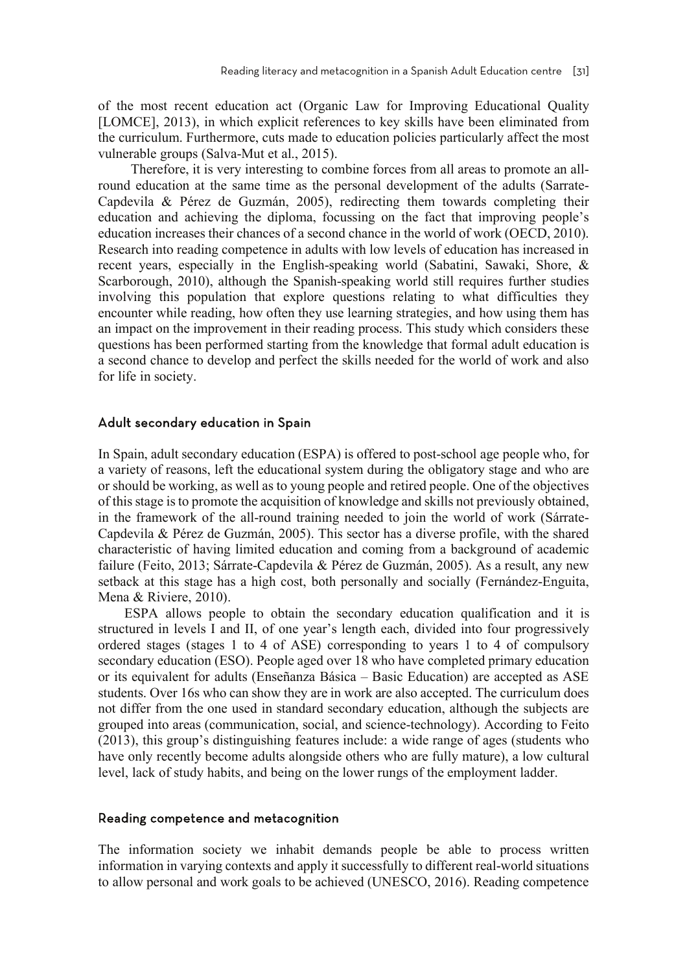of the most recent education act (Organic Law for Improving Educational Quality [LOMCE], 2013), in which explicit references to key skills have been eliminated from the curriculum. Furthermore, cuts made to education policies particularly affect the most vulnerable groups (Salva-Mut et al., 2015).

Therefore, it is very interesting to combine forces from all areas to promote an allround education at the same time as the personal development of the adults (Sarrate-Capdevila & Pérez de Guzmán, 2005), redirecting them towards completing their education and achieving the diploma, focussing on the fact that improving people's education increases their chances of a second chance in the world of work (OECD, 2010). Research into reading competence in adults with low levels of education has increased in recent years, especially in the English-speaking world (Sabatini, Sawaki, Shore, & Scarborough, 2010), although the Spanish-speaking world still requires further studies involving this population that explore questions relating to what difficulties they encounter while reading, how often they use learning strategies, and how using them has an impact on the improvement in their reading process. This study which considers these questions has been performed starting from the knowledge that formal adult education is a second chance to develop and perfect the skills needed for the world of work and also for life in society.

#### Adult secondary education in Spain

In Spain, adult secondary education (ESPA) is offered to post-school age people who, for a variety of reasons, left the educational system during the obligatory stage and who are or should be working, as well as to young people and retired people. One of the objectives of this stage is to promote the acquisition of knowledge and skills not previously obtained, in the framework of the all-round training needed to join the world of work (Sárrate-Capdevila & Pérez de Guzmán, 2005). This sector has a diverse profile, with the shared characteristic of having limited education and coming from a background of academic failure (Feito, 2013; Sárrate-Capdevila & Pérez de Guzmán, 2005). As a result, any new setback at this stage has a high cost, both personally and socially (Fernández-Enguita, Mena & Riviere, 2010).

ESPA allows people to obtain the secondary education qualification and it is structured in levels I and II, of one year's length each, divided into four progressively ordered stages (stages 1 to 4 of ASE) corresponding to years 1 to 4 of compulsory secondary education (ESO). People aged over 18 who have completed primary education or its equivalent for adults (Enseñanza Básica – Basic Education) are accepted as ASE students. Over 16s who can show they are in work are also accepted. The curriculum does not differ from the one used in standard secondary education, although the subjects are grouped into areas (communication, social, and science-technology). According to Feito (2013), this group's distinguishing features include: a wide range of ages (students who have only recently become adults alongside others who are fully mature), a low cultural level, lack of study habits, and being on the lower rungs of the employment ladder.

#### Reading competence and metacognition

The information society we inhabit demands people be able to process written information in varying contexts and apply it successfully to different real-world situations to allow personal and work goals to be achieved (UNESCO, 2016). Reading competence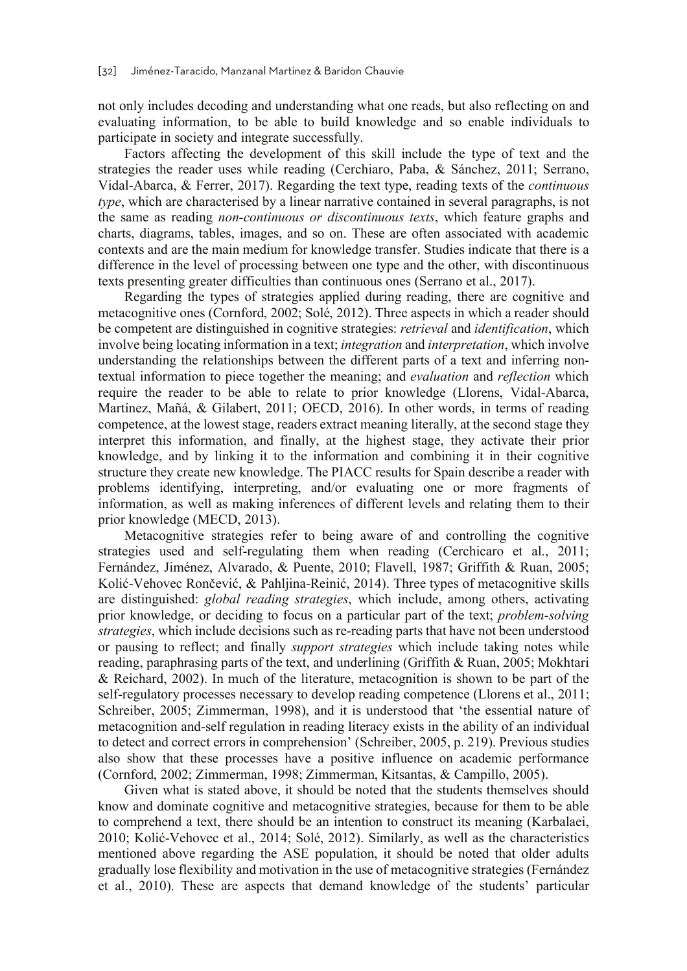not only includes decoding and understanding what one reads, but also reflecting on and evaluating information, to be able to build knowledge and so enable individuals to participate in society and integrate successfully.

Factors affecting the development of this skill include the type of text and the strategies the reader uses while reading (Cerchiaro, Paba, & Sánchez, 2011; Serrano, Vidal-Abarca, & Ferrer, 2017). Regarding the text type, reading texts of the *continuous type*, which are characterised by a linear narrative contained in several paragraphs, is not the same as reading *non-continuous or discontinuous texts*, which feature graphs and charts, diagrams, tables, images, and so on. These are often associated with academic contexts and are the main medium for knowledge transfer. Studies indicate that there is a difference in the level of processing between one type and the other, with discontinuous texts presenting greater difficulties than continuous ones (Serrano et al., 2017).

Regarding the types of strategies applied during reading, there are cognitive and metacognitive ones (Cornford, 2002; Solé, 2012). Three aspects in which a reader should be competent are distinguished in cognitive strategies: *retrieval* and *identification*, which involve being locating information in a text; *integration* and *interpretation*, which involve understanding the relationships between the different parts of a text and inferring nontextual information to piece together the meaning; and *evaluation* and *reflection* which require the reader to be able to relate to prior knowledge (Llorens, Vidal-Abarca, Martínez, Mañá, & Gilabert, 2011; OECD, 2016). In other words, in terms of reading competence, at the lowest stage, readers extract meaning literally, at the second stage they interpret this information, and finally, at the highest stage, they activate their prior knowledge, and by linking it to the information and combining it in their cognitive structure they create new knowledge. The PIACC results for Spain describe a reader with problems identifying, interpreting, and/or evaluating one or more fragments of information, as well as making inferences of different levels and relating them to their prior knowledge (MECD, 2013).

Metacognitive strategies refer to being aware of and controlling the cognitive strategies used and self-regulating them when reading (Cerchicaro et al., 2011; Fernández, Jiménez, Alvarado, & Puente, 2010; Flavell, 1987; Griffith & Ruan, 2005; Kolić-Vehovec Rončević, & Pahljina-Reinić, 2014). Three types of metacognitive skills are distinguished: *global reading strategies*, which include, among others, activating prior knowledge, or deciding to focus on a particular part of the text; *problem-solving strategies*, which include decisions such as re-reading parts that have not been understood or pausing to reflect; and finally *support strategies* which include taking notes while reading, paraphrasing parts of the text, and underlining (Griffith & Ruan, 2005; Mokhtari & Reichard, 2002). In much of the literature, metacognition is shown to be part of the self-regulatory processes necessary to develop reading competence (Llorens et al., 2011; Schreiber, 2005; Zimmerman, 1998), and it is understood that 'the essential nature of metacognition and-self regulation in reading literacy exists in the ability of an individual to detect and correct errors in comprehension' (Schreiber, 2005, p. 219). Previous studies also show that these processes have a positive influence on academic performance (Cornford, 2002; Zimmerman, 1998; Zimmerman, Kitsantas, & Campillo, 2005).

Given what is stated above, it should be noted that the students themselves should know and dominate cognitive and metacognitive strategies, because for them to be able to comprehend a text, there should be an intention to construct its meaning (Karbalaei, 2010; Kolić-Vehovec et al., 2014; Solé, 2012). Similarly, as well as the characteristics mentioned above regarding the ASE population, it should be noted that older adults gradually lose flexibility and motivation in the use of metacognitive strategies (Fernández et al., 2010). These are aspects that demand knowledge of the students' particular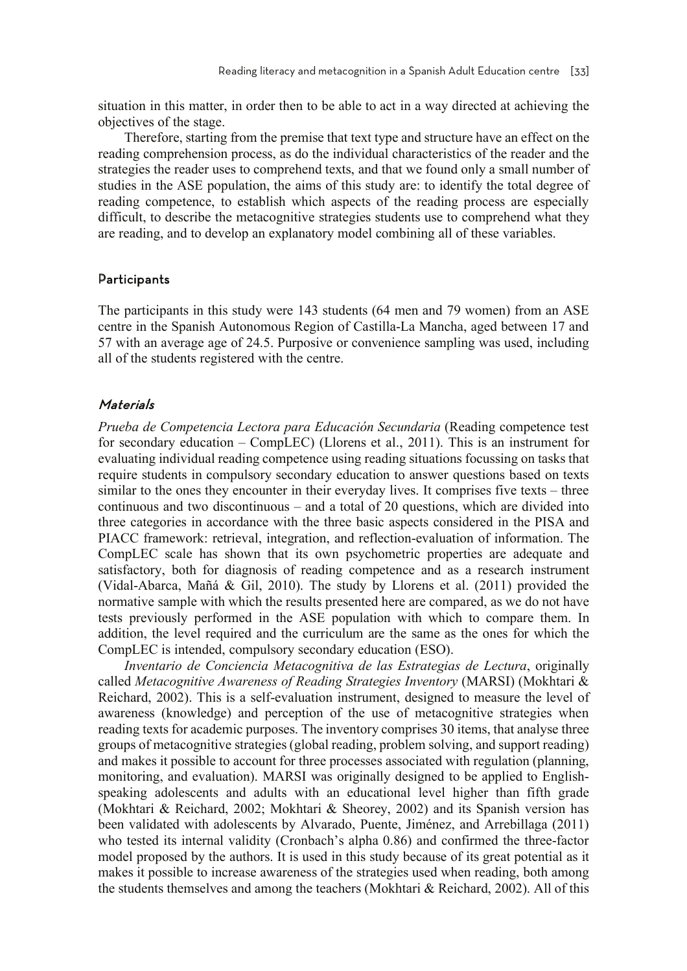situation in this matter, in order then to be able to act in a way directed at achieving the objectives of the stage.

Therefore, starting from the premise that text type and structure have an effect on the reading comprehension process, as do the individual characteristics of the reader and the strategies the reader uses to comprehend texts, and that we found only a small number of studies in the ASE population, the aims of this study are: to identify the total degree of reading competence, to establish which aspects of the reading process are especially difficult, to describe the metacognitive strategies students use to comprehend what they are reading, and to develop an explanatory model combining all of these variables.

#### **Participants**

The participants in this study were 143 students (64 men and 79 women) from an ASE centre in the Spanish Autonomous Region of Castilla-La Mancha, aged between 17 and 57 with an average age of 24.5. Purposive or convenience sampling was used, including all of the students registered with the centre.

#### Materials

*Prueba de Competencia Lectora para Educación Secundaria* (Reading competence test for secondary education – CompLEC) (Llorens et al., 2011). This is an instrument for evaluating individual reading competence using reading situations focussing on tasks that require students in compulsory secondary education to answer questions based on texts similar to the ones they encounter in their everyday lives. It comprises five texts – three continuous and two discontinuous – and a total of 20 questions, which are divided into three categories in accordance with the three basic aspects considered in the PISA and PIACC framework: retrieval, integration, and reflection-evaluation of information. The CompLEC scale has shown that its own psychometric properties are adequate and satisfactory, both for diagnosis of reading competence and as a research instrument (Vidal-Abarca, Mañá & Gil, 2010). The study by Llorens et al. (2011) provided the normative sample with which the results presented here are compared, as we do not have tests previously performed in the ASE population with which to compare them. In addition, the level required and the curriculum are the same as the ones for which the CompLEC is intended, compulsory secondary education (ESO).

*Inventario de Conciencia Metacognitiva de las Estrategias de Lectura*, originally called *Metacognitive Awareness of Reading Strategies Inventory* (MARSI) (Mokhtari & Reichard, 2002). This is a self-evaluation instrument, designed to measure the level of awareness (knowledge) and perception of the use of metacognitive strategies when reading texts for academic purposes. The inventory comprises 30 items, that analyse three groups of metacognitive strategies (global reading, problem solving, and support reading) and makes it possible to account for three processes associated with regulation (planning, monitoring, and evaluation). MARSI was originally designed to be applied to Englishspeaking adolescents and adults with an educational level higher than fifth grade (Mokhtari & Reichard, 2002; Mokhtari & Sheorey, 2002) and its Spanish version has been validated with adolescents by Alvarado, Puente, Jiménez, and Arrebillaga (2011) who tested its internal validity (Cronbach's alpha 0.86) and confirmed the three-factor model proposed by the authors. It is used in this study because of its great potential as it makes it possible to increase awareness of the strategies used when reading, both among the students themselves and among the teachers (Mokhtari & Reichard, 2002). All of this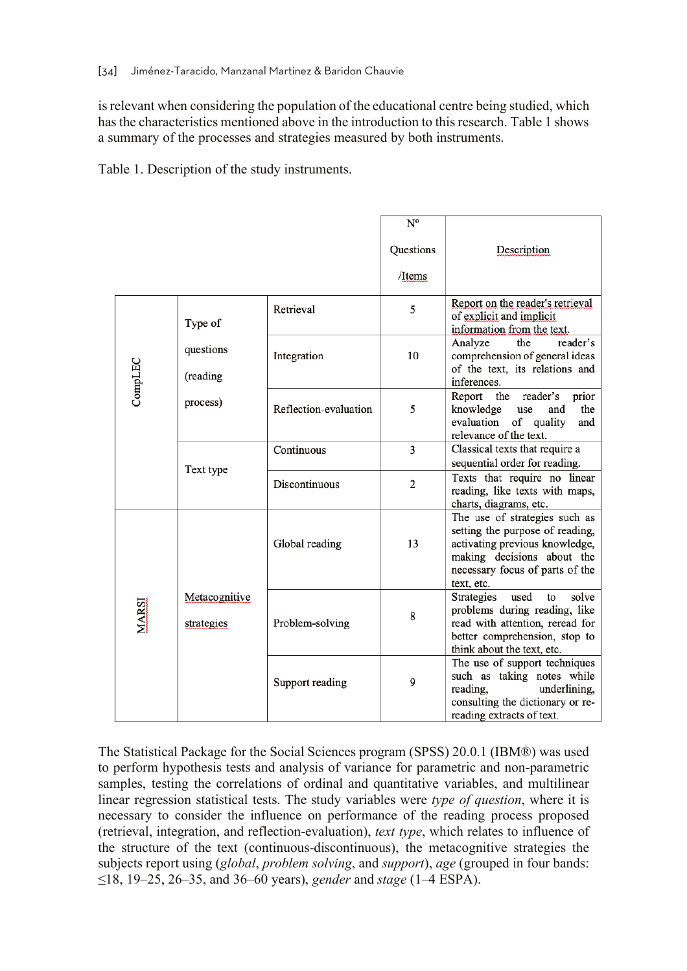is relevant when considering the population of the educational centre being studied, which has the characteristics mentioned above in the introduction to this research. Table 1 shows a summary of the processes and strategies measured by both instruments.

Table 1. Description of the study instruments.

|              |                                  |                       | $N^{o}$        |                                                                                                                                                                                   |
|--------------|----------------------------------|-----------------------|----------------|-----------------------------------------------------------------------------------------------------------------------------------------------------------------------------------|
|              |                                  |                       | Questions      | Description                                                                                                                                                                       |
|              |                                  |                       | /Items         |                                                                                                                                                                                   |
|              | Type of<br>questions<br>(reading | Retrieval             | 5              | Report on the reader's retrieval<br>of explicit and implicit<br>information from the text.                                                                                        |
| CompLEC      |                                  | Integration           | 10             | reader's<br>Analyze<br>the<br>comprehension of general ideas<br>of the text, its relations and<br>inferences.                                                                     |
|              | process)                         | Reflection-evaluation | 5              | reader's<br>Report<br>the<br>prior<br>the<br>knowledge<br>use<br>and<br>of quality<br>evaluation<br>and<br>relevance of the text.                                                 |
|              | Text type                        | Continuous            | 3              | Classical texts that require a<br>sequential order for reading.                                                                                                                   |
|              |                                  | Discontinuous         | $\overline{2}$ | Texts that require no linear<br>reading, like texts with maps,<br>charts, diagrams, etc.                                                                                          |
|              |                                  | Global reading        | 13             | The use of strategies such as<br>setting the purpose of reading,<br>activating previous knowledge,<br>making decisions about the<br>necessary focus of parts of the<br>text, etc. |
| <b>MARSI</b> | Metacognitive<br>strategies      | Problem-solving       | 8              | used<br>solve<br>Strategies<br>to<br>problems during reading, like<br>read with attention, reread for<br>better comprehension, stop to<br>think about the text, etc.              |
|              |                                  | Support reading       | 9              | The use of support techniques<br>such as taking notes while<br>reading,<br>underlining,<br>consulting the dictionary or re-<br>reading extracts of text.                          |

The Statistical Package for the Social Sciences program (SPSS) 20.0.1 (IBM®) was used to perform hypothesis tests and analysis of variance for parametric and non-parametric samples, testing the correlations of ordinal and quantitative variables, and multilinear linear regression statistical tests. The study variables were *type of question*, where it is necessary to consider the influence on performance of the reading process proposed (retrieval, integration, and reflection-evaluation), *text type*, which relates to influence of the structure of the text (continuous-discontinuous), the metacognitive strategies the subjects report using (*global*, *problem solving*, and *support*), *age* (grouped in four bands: ≤18, 19–25, 26–35, and 36–60 years), *gender* and *stage* (1–4 ESPA).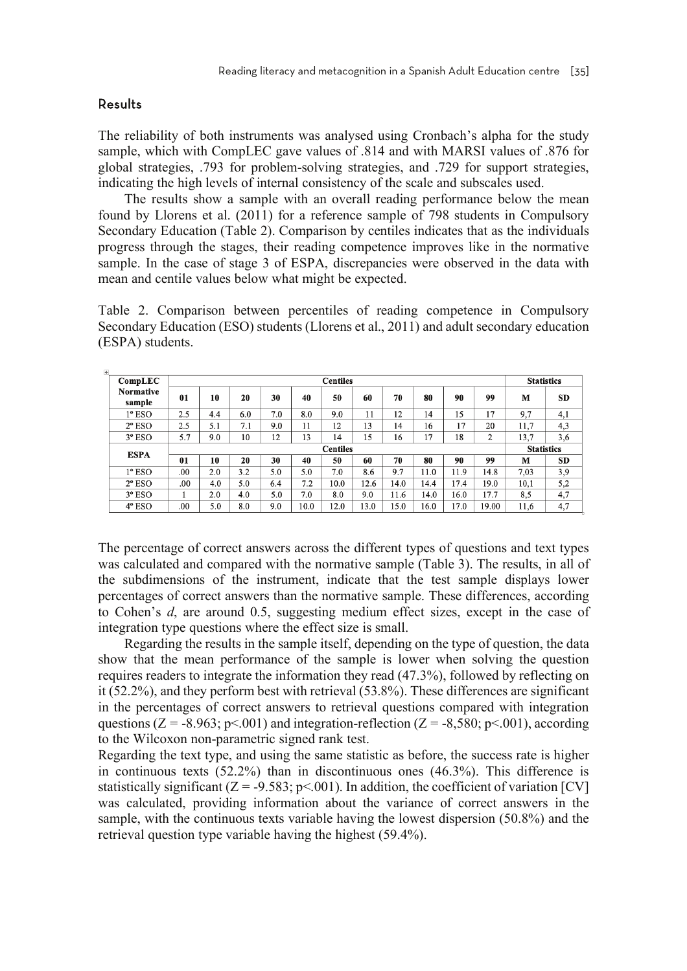#### Results

The reliability of both instruments was analysed using Cronbach's alpha for the study sample, which with CompLEC gave values of .814 and with MARSI values of .876 for global strategies, .793 for problem-solving strategies, and .729 for support strategies, indicating the high levels of internal consistency of the scale and subscales used.

The results show a sample with an overall reading performance below the mean found by Llorens et al. (2011) for a reference sample of 798 students in Compulsory Secondary Education (Table 2). Comparison by centiles indicates that as the individuals progress through the stages, their reading competence improves like in the normative sample. In the case of stage 3 of ESPA, discrepancies were observed in the data with mean and centile values below what might be expected.

Table 2. Comparison between percentiles of reading competence in Compulsory Secondary Education (ESO) students (Llorens et al., 2011) and adult secondary education (ESPA) students.

| ÷                          |     |     |     |     |      |                 |      |      |      |      |       |                   |           |
|----------------------------|-----|-----|-----|-----|------|-----------------|------|------|------|------|-------|-------------------|-----------|
| CompLEC                    |     |     |     |     |      | <b>Centiles</b> |      |      |      |      |       | <b>Statistics</b> |           |
| <b>Normative</b><br>sample | 01  | 10  | 20  | 30  | 40   | 50              | 60   | 70   | 80   | 90   | 99    | M                 | SD        |
| $1^{\circ}$ ESO            | 2.5 | 4.4 | 6.0 | 7.0 | 8.0  | 9.0             | 11   | 12   | 14   | 15   | 17    | 9,7               | 4,1       |
| $2^{\circ}$ ESO            | 2.5 | 5.1 | 7.1 | 9.0 | 11   | 12              | 13   | 14   | 16   | 17   | 20    | 11,7              | 4,3       |
| $3^{\circ}$ ESO            | 5.7 | 9.0 | 10  | 12  | 13   | 14              | 15   | 16   | 17   | 18   | 2     | 13,7              | 3,6       |
| <b>ESPA</b>                |     |     |     |     |      | <b>Centiles</b> |      |      |      |      |       | <b>Statistics</b> |           |
|                            | 01  | 10  | 20  | 30  | 40   | 50              | 60   | 70   | 80   | 90   | 99    | M                 | <b>SD</b> |
| $1^{\circ}$ ESO            | .00 | 2.0 | 3.2 | 5.0 | 5.0  | 7.0             | 8.6  | 9.7  | 11.0 | 11.9 | 14.8  | 7.03              | 3,9       |
| $2^{\circ}$ ESO            | .00 | 4.0 | 5.0 | 6.4 | 7.2  | 10.0            | 12.6 | 14.0 | 14.4 | 17.4 | 19.0  | 10,1              | 5,2       |
| $3^{\circ}$ ESO            |     | 2.0 | 4.0 | 5.0 | 7.0  | 8.0             | 9.0  | 11.6 | 14.0 | 16.0 | 17.7  | 8,5               | 4,7       |
| $4°$ ESO                   | .00 | 5.0 | 8.0 | 9.0 | 10.0 | 12.0            | 13.0 | 15.0 | 16.0 | 17.0 | 19.00 | 11,6              | 4,7       |

The percentage of correct answers across the different types of questions and text types was calculated and compared with the normative sample (Table 3). The results, in all of the subdimensions of the instrument, indicate that the test sample displays lower percentages of correct answers than the normative sample. These differences, according to Cohen's *d*, are around 0.5, suggesting medium effect sizes, except in the case of integration type questions where the effect size is small.

Regarding the results in the sample itself, depending on the type of question, the data show that the mean performance of the sample is lower when solving the question requires readers to integrate the information they read (47.3%), followed by reflecting on it (52.2%), and they perform best with retrieval (53.8%). These differences are significant in the percentages of correct answers to retrieval questions compared with integration questions (Z = -8.963; p < 0.01) and integration-reflection (Z = -8,580; p < 0.01), according to the Wilcoxon non-parametric signed rank test.

Regarding the text type, and using the same statistic as before, the success rate is higher in continuous texts (52.2%) than in discontinuous ones (46.3%). This difference is statistically significant ( $Z = -9.583$ ; p<.001). In addition, the coefficient of variation [CV] was calculated, providing information about the variance of correct answers in the sample, with the continuous texts variable having the lowest dispersion (50.8%) and the retrieval question type variable having the highest (59.4%).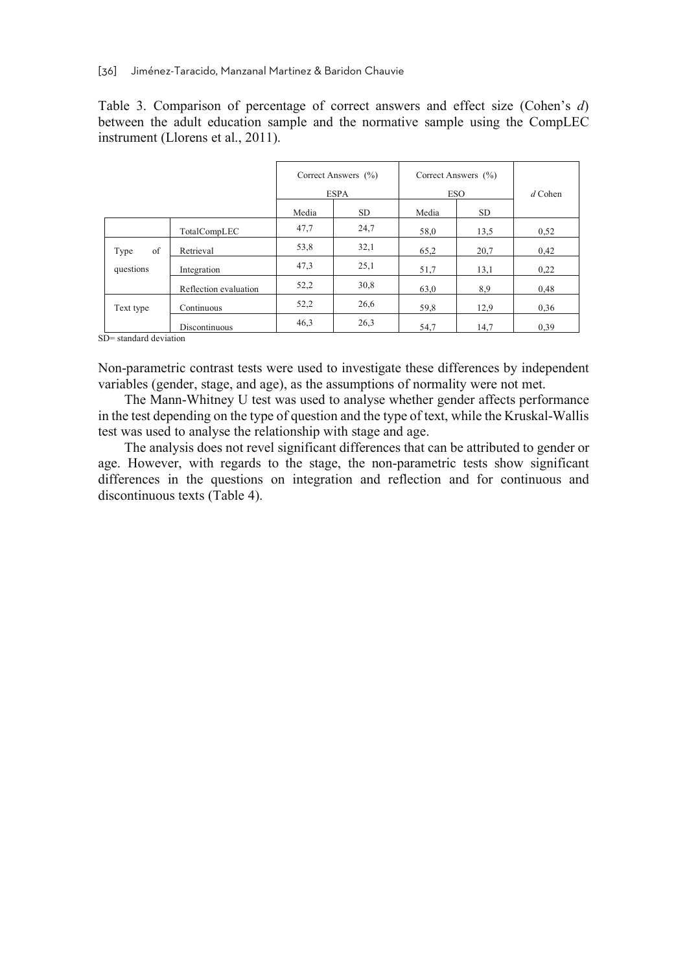Table 3. Comparison of percentage of correct answers and effect size (Cohen's *d*) between the adult education sample and the normative sample using the CompLEC instrument (Llorens et al., 2011).

|            |                       |       | Correct Answers (%)<br><b>ESPA</b> | Correct Answers (%)<br><b>ESO</b> | $d$ Cohen |      |
|------------|-----------------------|-------|------------------------------------|-----------------------------------|-----------|------|
|            |                       | Media | SD.                                | Media                             | <b>SD</b> |      |
|            | TotalCompLEC          | 47,7  | 24,7                               | 58,0                              | 13,5      | 0,52 |
| of<br>Type | Retrieval             | 53,8  | 32,1                               | 65,2                              | 20,7      | 0,42 |
| questions  | Integration           | 47,3  | 25,1                               | 51,7                              | 13,1      | 0,22 |
|            | Reflection evaluation | 52,2  | 30,8                               | 63,0                              | 8,9       | 0,48 |
| Text type  | Continuous            | 52,2  | 26,6                               | 59,8                              | 12,9      | 0,36 |
|            | Discontinuous         | 46,3  | 26,3                               | 54,7                              | 14,7      | 0,39 |

SD= standard deviation

Non-parametric contrast tests were used to investigate these differences by independent variables (gender, stage, and age), as the assumptions of normality were not met.

The Mann-Whitney U test was used to analyse whether gender affects performance in the test depending on the type of question and the type of text, while the Kruskal-Wallis test was used to analyse the relationship with stage and age.

The analysis does not revel significant differences that can be attributed to gender or age. However, with regards to the stage, the non-parametric tests show significant differences in the questions on integration and reflection and for continuous and discontinuous texts (Table 4).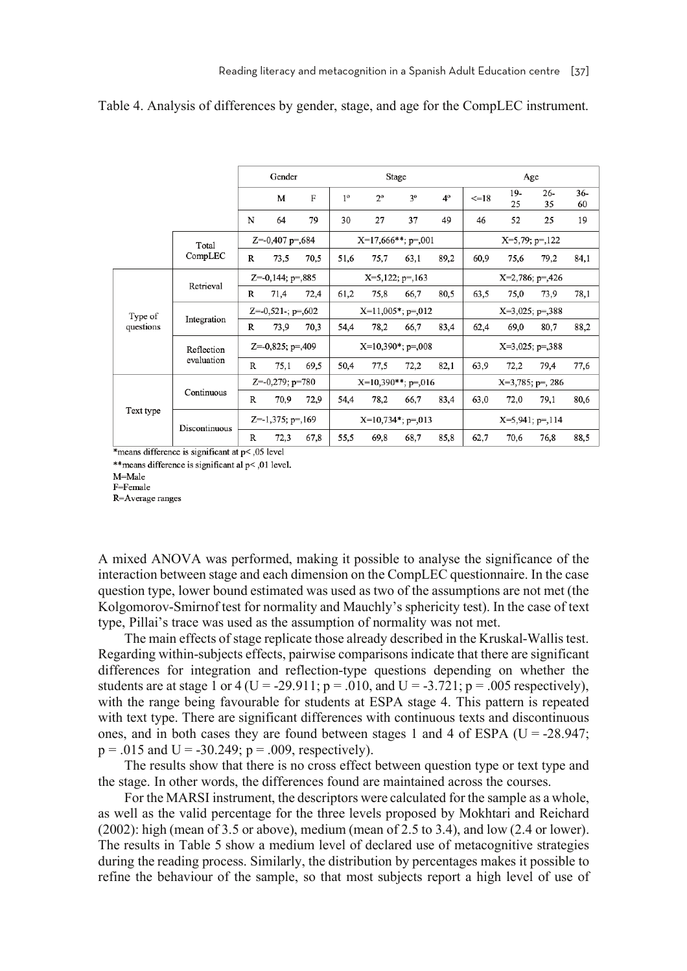|           |               |                      | Gender               |      |                      |                      | Stage |           |                    | Age                 |                    |             |  |
|-----------|---------------|----------------------|----------------------|------|----------------------|----------------------|-------|-----------|--------------------|---------------------|--------------------|-------------|--|
|           |               |                      | M                    | F    | 1 <sup>0</sup>       | $2^{\circ}$          | 3°    | $4^\circ$ | $=18$              | 19-<br>25           | $26-$<br>35        | $36-$<br>60 |  |
|           |               | N                    | 64                   | 79   | 30                   | 27                   | 37    | 49        | 46                 | 52                  | 25                 | 19          |  |
|           | Total         |                      | $Z=0,407$ p=,684     |      |                      | $X=17,666**; p=.001$ |       |           | $X=5,79; p=.122$   |                     |                    |             |  |
|           | CompLEC       | R                    | 73,5                 | 70,5 | 51,6                 | 75,7                 | 63,1  | 89,2      | 60,9               | 75,6                | 79.2               | 84,1        |  |
|           | Retrieval     | $Z=0,144; p=.885$    |                      |      | $X=5,122; p=.163$    |                      |       |           |                    | $X=2,786$ ; p=,426  |                    |             |  |
|           |               | R                    | 71,4                 | 72,4 | 61,2                 | 75,8                 | 66,7  | 80,5      | 63,5               | 75,0                | 73,9               | 78,1        |  |
| Type of   | Integration   | $Z=-0,521$ -; p=,602 |                      |      |                      | $X=11,005$ *; p=,012 |       |           |                    |                     | $X=3,025$ ; p=,388 |             |  |
| questions |               | R                    | 73,9                 | 70,3 | 54,4                 | 78,2                 | 66,7  | 83,4      | 62,4               | 69,0                | 80,7               | 88,2        |  |
|           | Reflection    | $Z=0,825; p=.409$    |                      |      | $X=10,390^*; p=.008$ |                      |       |           | $X=3,025$ ; p=,388 |                     |                    |             |  |
|           | evaluation    | R                    | 75,1                 | 69.5 | 50.4                 | 77,5                 | 72,2  | 82,1      | 63,9               | 72,2                | 79,4               | 77,6        |  |
|           |               |                      | $Z=-0,279$ ; $p=780$ |      |                      | $X=10,390**; p=.016$ |       |           |                    | $X=3,785$ ; p=, 286 |                    |             |  |
|           | Continuous    | R                    | 70,9                 | 72,9 | 54,4                 | 78,2                 | 66,7  | 83,4      | 63,0               | 72,0                | 79,1               | 80,6        |  |
| Text type | Discontinuous |                      | $Z=1,375$ ; p=,169   |      |                      | $X=10,734*; p=.013$  |       |           |                    | $X=5,941$ ; p=,114  |                    |             |  |
|           |               | R                    | 72,3                 | 67,8 | 55,5                 | 69,8                 | 68,7  | 85,8      | 62,7               | 70,6                | 76,8               | 88,5        |  |

#### Table 4. Analysis of differences by gender, stage, and age for the CompLEC instrument.

\*means difference is significant at  $p<$ ,05 level

\*\* means difference is significant al p< 0.01 level.

M=Male

F=Female

R=Average ranges

A mixed ANOVA was performed, making it possible to analyse the significance of the interaction between stage and each dimension on the CompLEC questionnaire. In the case question type, lower bound estimated was used as two of the assumptions are not met (the Kolgomorov-Smirnof test for normality and Mauchly's sphericity test). In the case of text type, Pillai's trace was used as the assumption of normality was not met.

The main effects of stage replicate those already described in the Kruskal-Wallis test. Regarding within-subjects effects, pairwise comparisons indicate that there are significant differences for integration and reflection-type questions depending on whether the students are at stage 1 or 4 (U = -29.911; p = .010, and U = -3.721; p = .005 respectively), with the range being favourable for students at ESPA stage 4. This pattern is repeated with text type. There are significant differences with continuous texts and discontinuous ones, and in both cases they are found between stages 1 and 4 of ESPA ( $U = -28.947$ ;  $p = .015$  and U = -30.249;  $p = .009$ , respectively).

The results show that there is no cross effect between question type or text type and the stage. In other words, the differences found are maintained across the courses.

For the MARSI instrument, the descriptors were calculated for the sample as a whole, as well as the valid percentage for the three levels proposed by Mokhtari and Reichard (2002): high (mean of 3.5 or above), medium (mean of 2.5 to 3.4), and low (2.4 or lower). The results in Table 5 show a medium level of declared use of metacognitive strategies during the reading process. Similarly, the distribution by percentages makes it possible to refine the behaviour of the sample, so that most subjects report a high level of use of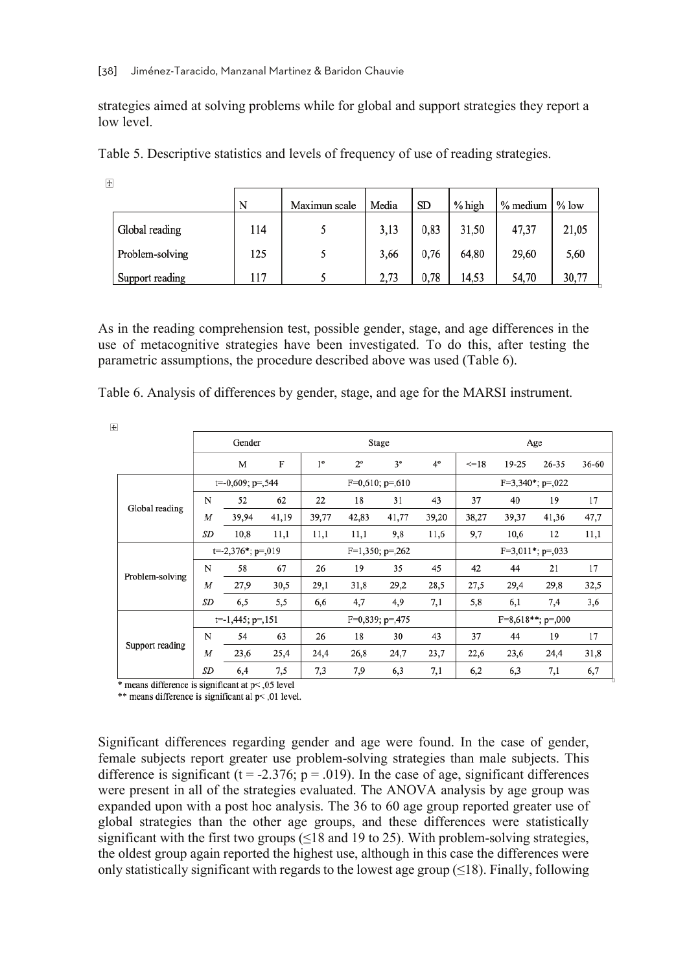strategies aimed at solving problems while for global and support strategies they report a low level.

|  | Table 5. Descriptive statistics and levels of frequency of use of reading strategies. |  |  |  |
|--|---------------------------------------------------------------------------------------|--|--|--|
|  |                                                                                       |  |  |  |

|                 | N   | Maximun scale | Media | SD   | % high | % medium | $%$ low |
|-----------------|-----|---------------|-------|------|--------|----------|---------|
| Global reading  | 114 |               | 3,13  | 0,83 | 31,50  | 47,37    | 21,05   |
| Problem-solving | 125 |               | 3,66  | 0,76 | 64,80  | 29,60    | 5,60    |
| Support reading | 117 |               | 2,73  | 0,78 | 14,53  | 54,70    | 30,77   |

As in the reading comprehension test, possible gender, stage, and age differences in the use of metacognitive strategies have been investigated. To do this, after testing the parametric assumptions, the procedure described above was used (Table 6).

| Table 6. Analysis of differences by gender, stage, and age for the MARSI instrument. |  |  |  |
|--------------------------------------------------------------------------------------|--|--|--|
|--------------------------------------------------------------------------------------|--|--|--|

| $\overline{+}$  |                     |                      |       |             |                   |                      |           |       |                      |           |       |  |
|-----------------|---------------------|----------------------|-------|-------------|-------------------|----------------------|-----------|-------|----------------------|-----------|-------|--|
|                 |                     | Gender               |       |             | Stage             |                      |           |       | Age                  |           |       |  |
|                 |                     | М                    | F     | $1^{\circ}$ | $2^{\circ}$       | $3^{\circ}$          | $4^\circ$ | $=18$ | 19-25                | $26 - 35$ | 36-60 |  |
|                 | $t=0,609; p=.544$   |                      |       |             | $F=0,610; p=.610$ |                      |           |       | $F=3,340^*$ ; p=,022 |           |       |  |
| Global reading  | N                   | 52                   | 62    | 22          | 18                | 31                   | 43        | 37    | 40                   | 19        | 17    |  |
|                 | M                   | 39.94                | 41,19 | 39,77       | 42,83             | 41,77                | 39,20     | 38,27 | 39,37                | 41,36     | 47,7  |  |
|                 | SD                  | 10,8                 | 11,1  | 11,1        | 11,1              | 9,8                  | 11,6      | 9,7   | 10,6                 | 12        | 11,1  |  |
|                 | $t=2,376$ *; p=,019 |                      |       |             |                   | $F=1,350$ ; $p=.262$ |           |       | $F=3,011*; p=.033$   |           |       |  |
| Problem-solving | N                   | 58                   | 67    | 26          | 19                | 35                   | 45        | 42    | 44                   | 21        | 17    |  |
|                 | M                   | 27,9                 | 30,5  | 29,1        | 31,8              | 29,2                 | 28,5      | 27,5  | 29,4                 | 29,8      | 32,5  |  |
|                 | SD                  | 6,5                  | 5,5   | 6,6         | 4,7               | 4,9                  | 7,1       | 5,8   | 6,1                  | 7,4       | 3,6   |  |
|                 |                     | $t=1,445$ ; $p=.151$ |       |             |                   | $F=0,839; p=.475$    |           |       | $F=8,618**; p=.000$  |           |       |  |
|                 | N                   | 54                   | 63    | 26          | 18                | 30                   | 43        | 37    | 44                   | 19        | 17    |  |
| Support reading | M                   | 23,6                 | 25,4  | 24,4        | 26,8              | 24,7                 | 23,7      | 22,6  | 23,6                 | 24,4      | 31,8  |  |
|                 | SD                  | 6,4                  | 7,5   | 7,3         | 7,9               | 6,3                  | 7,1       | 6,2   | 6,3                  | 7,1       | 6,7   |  |

\* means difference is significant at p< ,05 level

\*\* means difference is significant al p< 0.01 level.

Significant differences regarding gender and age were found. In the case of gender, female subjects report greater use problem-solving strategies than male subjects. This difference is significant ( $t = -2.376$ ;  $p = .019$ ). In the case of age, significant differences were present in all of the strategies evaluated. The ANOVA analysis by age group was expanded upon with a post hoc analysis. The 36 to 60 age group reported greater use of global strategies than the other age groups, and these differences were statistically significant with the first two groups  $(\leq 18$  and 19 to 25). With problem-solving strategies, the oldest group again reported the highest use, although in this case the differences were only statistically significant with regards to the lowest age group  $(\leq 18)$ . Finally, following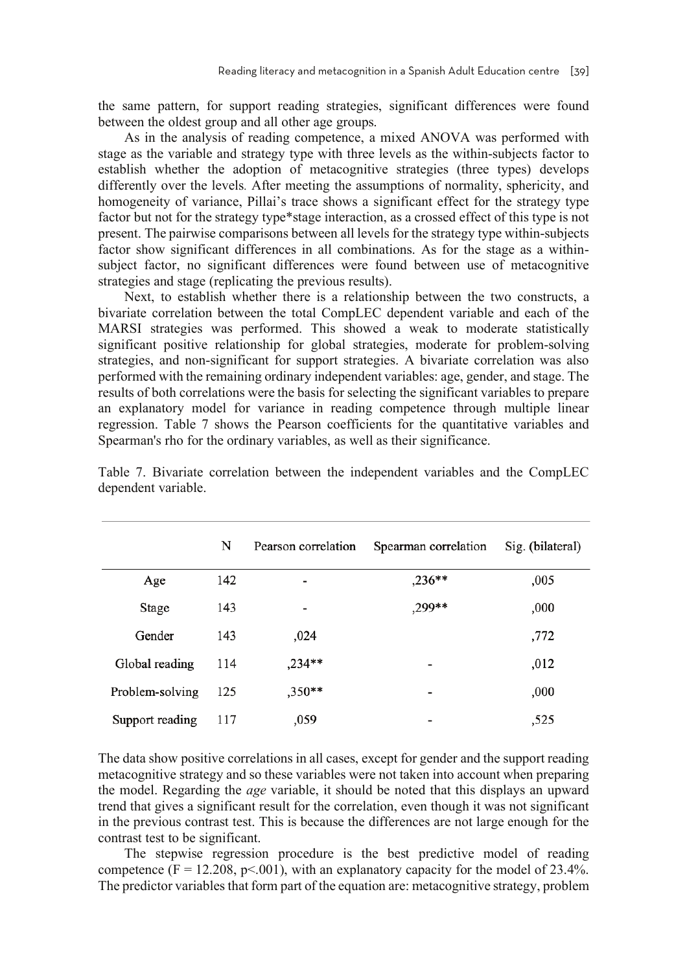the same pattern, for support reading strategies, significant differences were found between the oldest group and all other age groups.

As in the analysis of reading competence, a mixed ANOVA was performed with stage as the variable and strategy type with three levels as the within-subjects factor to establish whether the adoption of metacognitive strategies (three types) develops differently over the levels. After meeting the assumptions of normality, sphericity, and homogeneity of variance, Pillai's trace shows a significant effect for the strategy type factor but not for the strategy type\*stage interaction, as a crossed effect of this type is not present. The pairwise comparisons between all levels for the strategy type within-subjects factor show significant differences in all combinations. As for the stage as a withinsubject factor, no significant differences were found between use of metacognitive strategies and stage (replicating the previous results).

Next, to establish whether there is a relationship between the two constructs, a bivariate correlation between the total CompLEC dependent variable and each of the MARSI strategies was performed. This showed a weak to moderate statistically significant positive relationship for global strategies, moderate for problem-solving strategies, and non-significant for support strategies. A bivariate correlation was also performed with the remaining ordinary independent variables: age, gender, and stage. The results of both correlations were the basis for selecting the significant variables to prepare an explanatory model for variance in reading competence through multiple linear regression. Table 7 shows the Pearson coefficients for the quantitative variables and Spearman's rho for the ordinary variables, as well as their significance.

|                 | N   | Pearson correlation      | Spearman correlation     | Sig. (bilateral) |
|-----------------|-----|--------------------------|--------------------------|------------------|
| Age             | 142 | $\overline{\phantom{a}}$ | $,236**$                 | ,005             |
| Stage           | 143 | -                        | ,299**                   | ,000             |
| Gender          | 143 | ,024                     |                          | ,772             |
| Global reading  | 114 | $,234***$                | ٠                        | ,012             |
| Problem-solving | 125 | $,350***$                | $\overline{\phantom{a}}$ | ,000             |
| Support reading | 117 | ,059                     | -                        | ,525             |

Table 7. Bivariate correlation between the independent variables and the CompLEC dependent variable.

The data show positive correlations in all cases, except for gender and the support reading metacognitive strategy and so these variables were not taken into account when preparing the model. Regarding the *age* variable, it should be noted that this displays an upward trend that gives a significant result for the correlation, even though it was not significant in the previous contrast test. This is because the differences are not large enough for the contrast test to be significant.

The stepwise regression procedure is the best predictive model of reading competence  $(F = 12.208, p \le 0.001)$ , with an explanatory capacity for the model of 23.4%. The predictor variables that form part of the equation are: metacognitive strategy, problem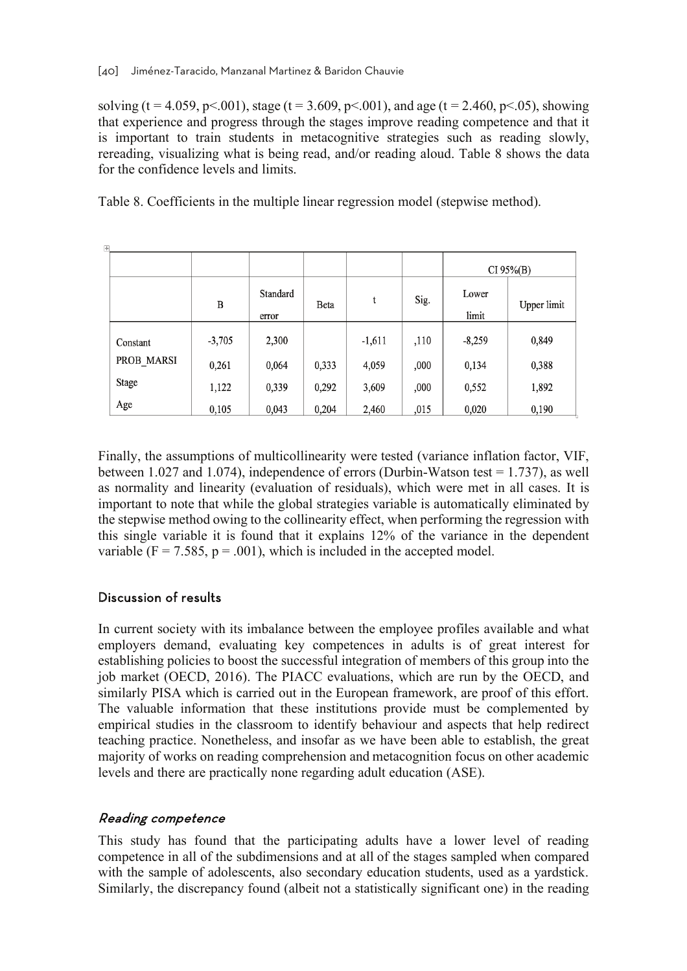solving (t = 4.059, p < 0.01), stage (t = 3.609, p < 0.01), and age (t = 2.460, p < 0.05), showing that experience and progress through the stages improve reading competence and that it is important to train students in metacognitive strategies such as reading slowly, rereading, visualizing what is being read, and/or reading aloud. Table 8 shows the data for the confidence levels and limits.

Table 8. Coefficients in the multiple linear regression model (stepwise method).

| $\overline{+}$ |          |                   |       |          |      |                |             |  |
|----------------|----------|-------------------|-------|----------|------|----------------|-------------|--|
|                |          |                   |       |          |      | $CI 95\% (B)$  |             |  |
|                | B        | Standard<br>error | Beta  | t        | Sig. | Lower<br>limit | Upper limit |  |
| Constant       | $-3,705$ | 2,300             |       | $-1,611$ | ,110 | $-8,259$       | 0,849       |  |
| PROB MARSI     | 0,261    | 0,064             | 0,333 | 4,059    | ,000 | 0,134          | 0,388       |  |
| Stage          | 1,122    | 0,339             | 0,292 | 3,609    | ,000 | 0,552          | 1,892       |  |
| Age            | 0,105    | 0,043             | 0,204 | 2,460    | ,015 | 0,020          | 0,190       |  |

Finally, the assumptions of multicollinearity were tested (variance inflation factor, VIF, between 1.027 and 1.074), independence of errors (Durbin-Watson test = 1.737), as well as normality and linearity (evaluation of residuals), which were met in all cases. It is important to note that while the global strategies variable is automatically eliminated by the stepwise method owing to the collinearity effect, when performing the regression with this single variable it is found that it explains 12% of the variance in the dependent variable ( $F = 7.585$ ,  $p = .001$ ), which is included in the accepted model.

#### Discussion of results

In current society with its imbalance between the employee profiles available and what employers demand, evaluating key competences in adults is of great interest for establishing policies to boost the successful integration of members of this group into the job market (OECD, 2016). The PIACC evaluations, which are run by the OECD, and similarly PISA which is carried out in the European framework, are proof of this effort. The valuable information that these institutions provide must be complemented by empirical studies in the classroom to identify behaviour and aspects that help redirect teaching practice. Nonetheless, and insofar as we have been able to establish, the great majority of works on reading comprehension and metacognition focus on other academic levels and there are practically none regarding adult education (ASE).

#### Reading competence

This study has found that the participating adults have a lower level of reading competence in all of the subdimensions and at all of the stages sampled when compared with the sample of adolescents, also secondary education students, used as a yardstick. Similarly, the discrepancy found (albeit not a statistically significant one) in the reading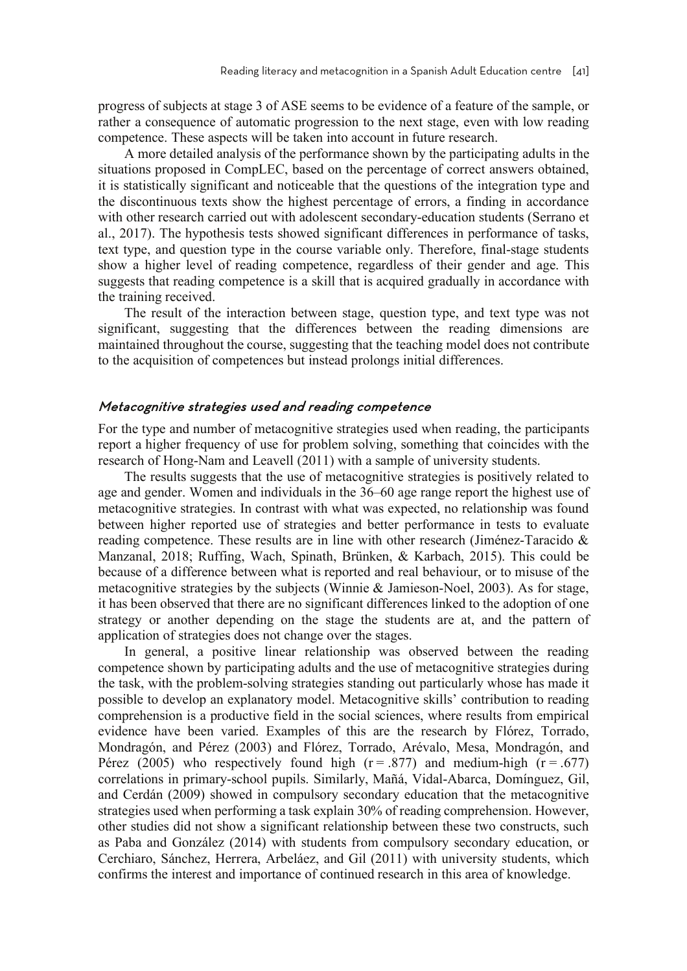progress of subjects at stage 3 of ASE seems to be evidence of a feature of the sample, or rather a consequence of automatic progression to the next stage, even with low reading competence. These aspects will be taken into account in future research.

A more detailed analysis of the performance shown by the participating adults in the situations proposed in CompLEC, based on the percentage of correct answers obtained, it is statistically significant and noticeable that the questions of the integration type and the discontinuous texts show the highest percentage of errors, a finding in accordance with other research carried out with adolescent secondary-education students (Serrano et al., 2017). The hypothesis tests showed significant differences in performance of tasks, text type, and question type in the course variable only. Therefore, final-stage students show a higher level of reading competence, regardless of their gender and age. This suggests that reading competence is a skill that is acquired gradually in accordance with the training received.

The result of the interaction between stage, question type, and text type was not significant, suggesting that the differences between the reading dimensions are maintained throughout the course, suggesting that the teaching model does not contribute to the acquisition of competences but instead prolongs initial differences.

#### Metacognitive strategies used and reading competence

For the type and number of metacognitive strategies used when reading, the participants report a higher frequency of use for problem solving, something that coincides with the research of Hong-Nam and Leavell (2011) with a sample of university students.

The results suggests that the use of metacognitive strategies is positively related to age and gender. Women and individuals in the 36–60 age range report the highest use of metacognitive strategies. In contrast with what was expected, no relationship was found between higher reported use of strategies and better performance in tests to evaluate reading competence. These results are in line with other research (Jiménez-Taracido & Manzanal, 2018; Ruffing, Wach, Spinath, Brünken, & Karbach, 2015). This could be because of a difference between what is reported and real behaviour, or to misuse of the metacognitive strategies by the subjects (Winnie & Jamieson-Noel, 2003). As for stage, it has been observed that there are no significant differences linked to the adoption of one strategy or another depending on the stage the students are at, and the pattern of application of strategies does not change over the stages.

In general, a positive linear relationship was observed between the reading competence shown by participating adults and the use of metacognitive strategies during the task, with the problem-solving strategies standing out particularly whose has made it possible to develop an explanatory model. Metacognitive skills' contribution to reading comprehension is a productive field in the social sciences, where results from empirical evidence have been varied. Examples of this are the research by Flórez, Torrado, Mondragón, and Pérez (2003) and Flórez, Torrado, Arévalo, Mesa, Mondragón, and Pérez (2005) who respectively found high ( $r = .877$ ) and medium-high ( $r = .677$ ) correlations in primary-school pupils. Similarly, Mañá, Vidal-Abarca, Domínguez, Gil, and Cerdán (2009) showed in compulsory secondary education that the metacognitive strategies used when performing a task explain 30% of reading comprehension. However, other studies did not show a significant relationship between these two constructs, such as Paba and González (2014) with students from compulsory secondary education, or Cerchiaro, Sánchez, Herrera, Arbeláez, and Gil (2011) with university students, which confirms the interest and importance of continued research in this area of knowledge.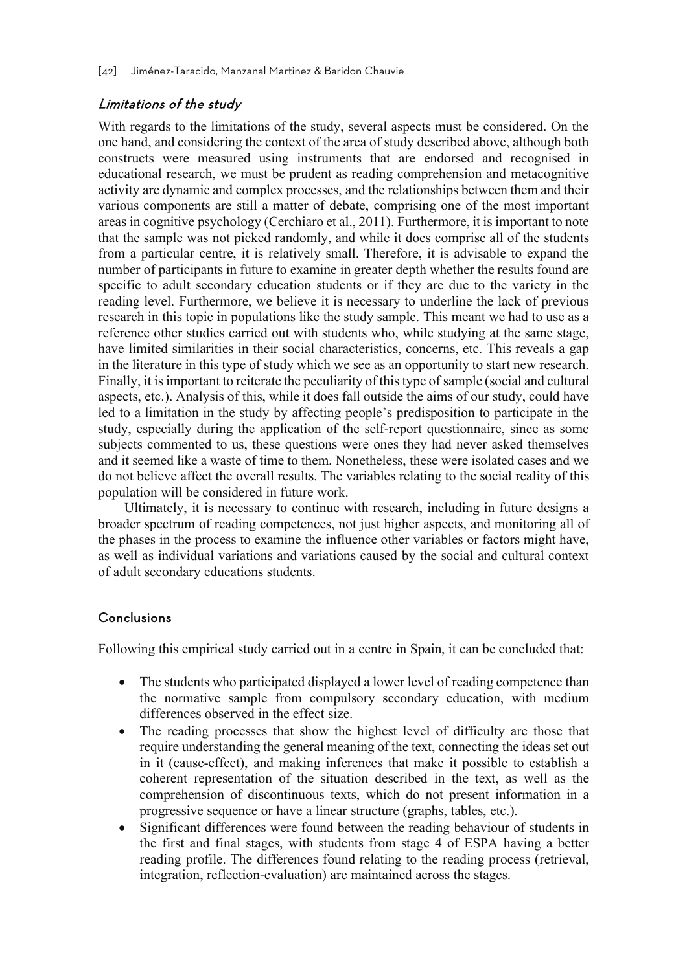#### Limitations of the study

With regards to the limitations of the study, several aspects must be considered. On the one hand, and considering the context of the area of study described above, although both constructs were measured using instruments that are endorsed and recognised in educational research, we must be prudent as reading comprehension and metacognitive activity are dynamic and complex processes, and the relationships between them and their various components are still a matter of debate, comprising one of the most important areas in cognitive psychology (Cerchiaro et al., 2011). Furthermore, it is important to note that the sample was not picked randomly, and while it does comprise all of the students from a particular centre, it is relatively small. Therefore, it is advisable to expand the number of participants in future to examine in greater depth whether the results found are specific to adult secondary education students or if they are due to the variety in the reading level. Furthermore, we believe it is necessary to underline the lack of previous research in this topic in populations like the study sample. This meant we had to use as a reference other studies carried out with students who, while studying at the same stage, have limited similarities in their social characteristics, concerns, etc. This reveals a gap in the literature in this type of study which we see as an opportunity to start new research. Finally, it is important to reiterate the peculiarity of this type of sample (social and cultural aspects, etc.). Analysis of this, while it does fall outside the aims of our study, could have led to a limitation in the study by affecting people's predisposition to participate in the study, especially during the application of the self-report questionnaire, since as some subjects commented to us, these questions were ones they had never asked themselves and it seemed like a waste of time to them. Nonetheless, these were isolated cases and we do not believe affect the overall results. The variables relating to the social reality of this population will be considered in future work.

Ultimately, it is necessary to continue with research, including in future designs a broader spectrum of reading competences, not just higher aspects, and monitoring all of the phases in the process to examine the influence other variables or factors might have, as well as individual variations and variations caused by the social and cultural context of adult secondary educations students.

#### **Conclusions**

Following this empirical study carried out in a centre in Spain, it can be concluded that:

- The students who participated displayed a lower level of reading competence than the normative sample from compulsory secondary education, with medium differences observed in the effect size.
- The reading processes that show the highest level of difficulty are those that require understanding the general meaning of the text, connecting the ideas set out in it (cause-effect), and making inferences that make it possible to establish a coherent representation of the situation described in the text, as well as the comprehension of discontinuous texts, which do not present information in a progressive sequence or have a linear structure (graphs, tables, etc.).
- Significant differences were found between the reading behaviour of students in the first and final stages, with students from stage 4 of ESPA having a better reading profile. The differences found relating to the reading process (retrieval, integration, reflection-evaluation) are maintained across the stages.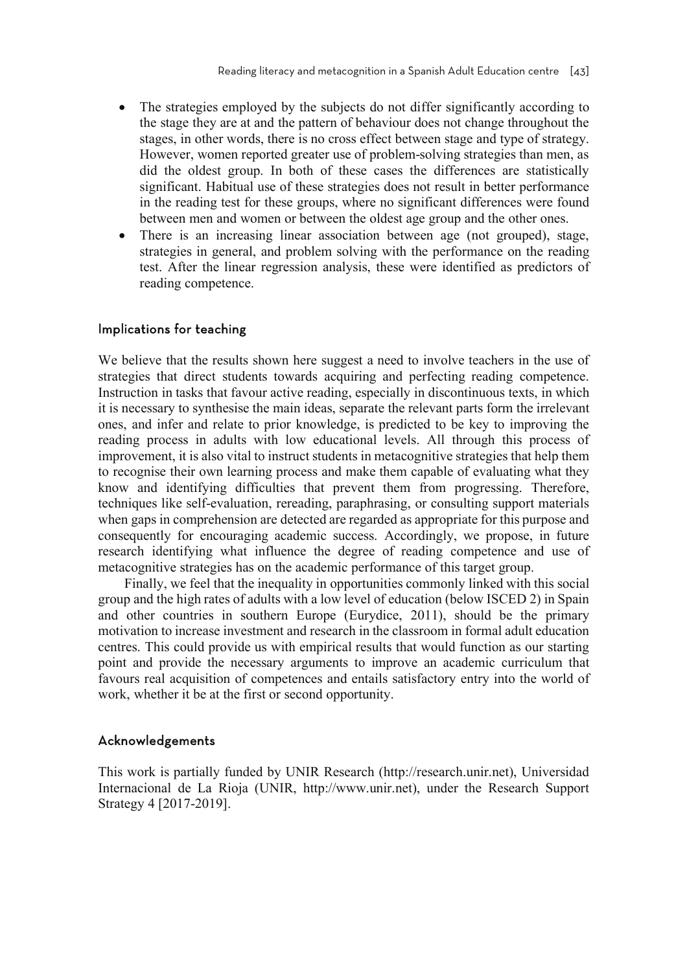- The strategies employed by the subjects do not differ significantly according to the stage they are at and the pattern of behaviour does not change throughout the stages, in other words, there is no cross effect between stage and type of strategy. However, women reported greater use of problem-solving strategies than men, as did the oldest group. In both of these cases the differences are statistically significant. Habitual use of these strategies does not result in better performance in the reading test for these groups, where no significant differences were found between men and women or between the oldest age group and the other ones.
- There is an increasing linear association between age (not grouped), stage, strategies in general, and problem solving with the performance on the reading test. After the linear regression analysis, these were identified as predictors of reading competence.

#### Implications for teaching

We believe that the results shown here suggest a need to involve teachers in the use of strategies that direct students towards acquiring and perfecting reading competence. Instruction in tasks that favour active reading, especially in discontinuous texts, in which it is necessary to synthesise the main ideas, separate the relevant parts form the irrelevant ones, and infer and relate to prior knowledge, is predicted to be key to improving the reading process in adults with low educational levels. All through this process of improvement, it is also vital to instruct students in metacognitive strategies that help them to recognise their own learning process and make them capable of evaluating what they know and identifying difficulties that prevent them from progressing. Therefore, techniques like self-evaluation, rereading, paraphrasing, or consulting support materials when gaps in comprehension are detected are regarded as appropriate for this purpose and consequently for encouraging academic success. Accordingly, we propose, in future research identifying what influence the degree of reading competence and use of metacognitive strategies has on the academic performance of this target group.

Finally, we feel that the inequality in opportunities commonly linked with this social group and the high rates of adults with a low level of education (below ISCED 2) in Spain and other countries in southern Europe (Eurydice, 2011), should be the primary motivation to increase investment and research in the classroom in formal adult education centres. This could provide us with empirical results that would function as our starting point and provide the necessary arguments to improve an academic curriculum that favours real acquisition of competences and entails satisfactory entry into the world of work, whether it be at the first or second opportunity.

#### Acknowledgements

This work is partially funded by UNIR Research (http://research.unir.net), Universidad Internacional de La Rioja (UNIR, http://www.unir.net), under the Research Support Strategy 4 [2017-2019].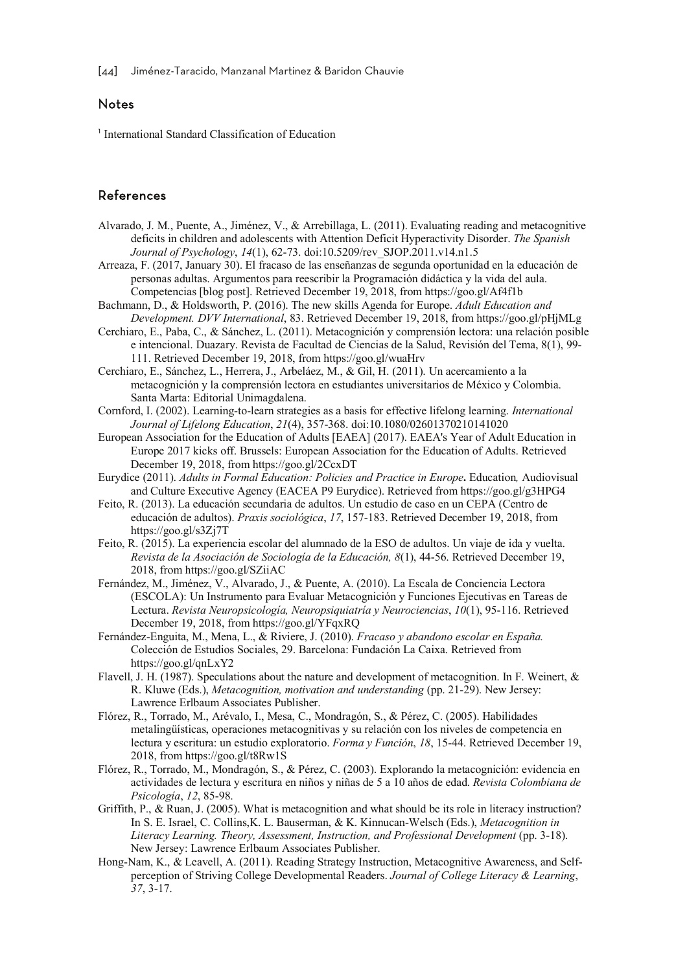#### Notes

<sup>1</sup> International Standard Classification of Education

#### References

- Alvarado, J. M., Puente, A., Jiménez, V., & Arrebillaga, L. (2011). Evaluating reading and metacognitive deficits in children and adolescents with Attention Deficit Hyperactivity Disorder. *The Spanish Journal of Psychology*, *14*(1), 62-73. doi:10.5209/rev\_SJOP.2011.v14.n1.5
- Arreaza, F. (2017, January 30). El fracaso de las enseñanzas de segunda oportunidad en la educación de personas adultas. Argumentos para reescribir la Programación didáctica y la vida del aula. Competencias [blog post]. Retrieved December 19, 2018, from https://goo.gl/Af4f1b
- Bachmann, D., & Holdsworth, P. (2016). The new skills Agenda for Europe. *Adult Education and Development. DVV International*, 83. Retrieved December 19, 2018, from https://goo.gl/pHjMLg
- Cerchiaro, E., Paba, C., & Sánchez, L. (2011). Metacognición y comprensión lectora: una relación posible e intencional. Duazary. Revista de Facultad de Ciencias de la Salud, Revisión del Tema, 8(1), 99- 111. Retrieved December 19, 2018, from https://goo.gl/wuaHrv
- Cerchiaro, E., Sánchez, L., Herrera, J., Arbeláez, M., & Gil, H. (2011). Un acercamiento a la metacognición y la comprensión lectora en estudiantes universitarios de México y Colombia. Santa Marta: Editorial Unimagdalena.
- Cornford, I. (2002). Learning-to-learn strategies as a basis for effective lifelong learning. *International Journal of Lifelong Education*, *21*(4), 357-368. doi:10.1080/02601370210141020
- European Association for the Education of Adults [EAEA] (2017). EAEA's Year of Adult Education in Europe 2017 kicks off. Brussels: European Association for the Education of Adults. Retrieved December 19, 2018, from https://goo.gl/2CcxDT
- Eurydice (2011). *Adults in Formal Education: Policies and Practice in Europe***.** Education*,* Audiovisual and Culture Executive Agency (EACEA P9 Eurydice). Retrieved from https://goo.gl/g3HPG4
- Feito, R. (2013). La educación secundaria de adultos. Un estudio de caso en un CEPA (Centro de educación de adultos). *Praxis sociológica*, *17*, 157-183. Retrieved December 19, 2018, from https://goo.gl/s3Zj7T
- Feito, R. (2015). La experiencia escolar del alumnado de la ESO de adultos. Un viaje de ida y vuelta. *Revista de la Asociación de Sociología de la Educación, 8*(1), 44-56. Retrieved December 19, 2018, from https://goo.gl/SZiiAC
- Fernández, M., Jiménez, V., Alvarado, J., & Puente, A. (2010). La Escala de Conciencia Lectora (ESCOLA): Un Instrumento para Evaluar Metacognición y Funciones Ejecutivas en Tareas de Lectura. *Revista Neuropsicología, Neuropsiquiatría y Neurociencias*, *10*(1), 95-116. Retrieved December 19, 2018, from https://goo.gl/YFqxRQ
- Fernández-Enguita, M., Mena, L., & Riviere, J. (2010). *Fracaso y abandono escolar en España.* Colección de Estudios Sociales, 29. Barcelona: Fundación La Caixa. Retrieved from https://goo.gl/qnLxY2
- Flavell, J. H. (1987). Speculations about the nature and development of metacognition. In F. Weinert, & R. Kluwe (Eds.), *Metacognition, motivation and understanding* (pp. 21-29). New Jersey: Lawrence Erlbaum Associates Publisher.
- Flórez, R., Torrado, M., Arévalo, I., Mesa, C., Mondragón, S., & Pérez, C. (2005). Habilidades metalingüísticas, operaciones metacognitivas y su relación con los niveles de competencia en lectura y escritura: un estudio exploratorio. *Forma y Función*, *18*, 15-44. Retrieved December 19, 2018, from https://goo.gl/t8Rw1S
- Flórez, R., Torrado, M., Mondragón, S., & Pérez, C. (2003). Explorando la metacognición: evidencia en actividades de lectura y escritura en niños y niñas de 5 a 10 años de edad. *Revista Colombiana de Psicología*, *12*, 85-98.
- Griffith, P., & Ruan, J. (2005). What is metacognition and what should be its role in literacy instruction? In S. E. Israel, C. Collins,K. L. Bauserman, & K. Kinnucan-Welsch (Eds.), *Metacognition in Literacy Learning. Theory, Assessment, Instruction, and Professional Development* (pp. 3-18). New Jersey: Lawrence Erlbaum Associates Publisher.
- Hong-Nam, K., & Leavell, A. (2011). Reading Strategy Instruction, Metacognitive Awareness, and Selfperception of Striving College Developmental Readers. *Journal of College Literacy & Learning*, *37*, 3-17.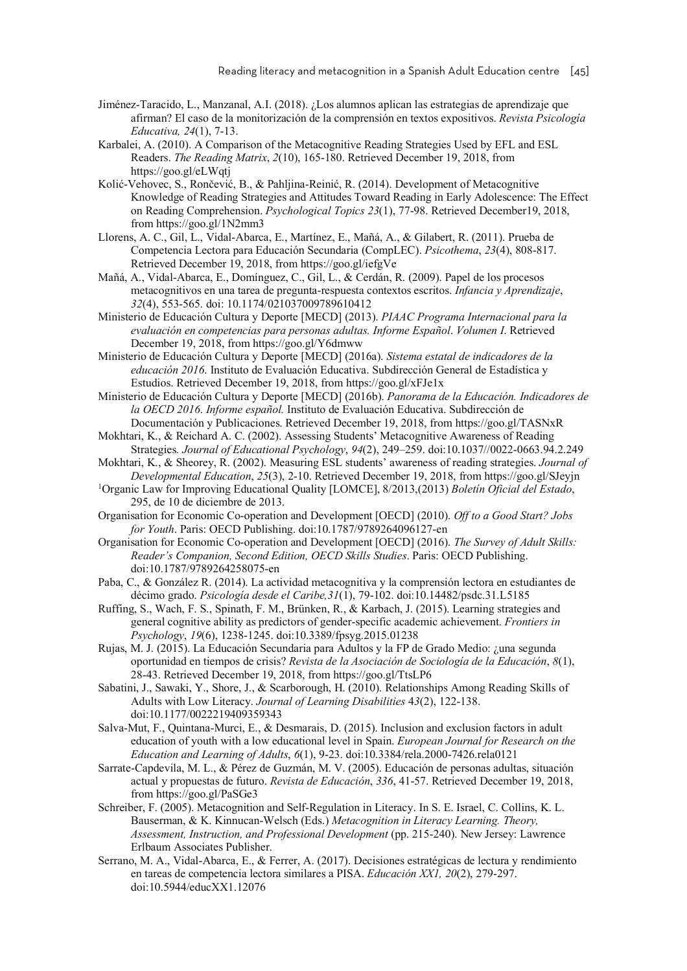- Jiménez-Taracido, L., Manzanal, A.I. (2018). ¿Los alumnos aplican las estrategias de aprendizaje que afirman? El caso de la monitorización de la comprensión en textos expositivos. *Revista Psicología Educativa, 24*(1), 7-13.
- Karbalei, A. (2010). A Comparison of the Metacognitive Reading Strategies Used by EFL and ESL Readers. *The Reading Matrix*, *2*(10), 165-180. Retrieved December 19, 2018, from https://goo.gl/eLWqtj
- Kolić-Vehovec, S., Rončević, B., & Pahljina-Reinić, R. (2014). Development of Metacognitive Knowledge of Reading Strategies and Attitudes Toward Reading in Early Adolescence: The Effect on Reading Comprehension. *Psychological Topics 23*(1), 77-98. Retrieved December19, 2018, from https://goo.gl/1N2mm3
- Llorens, A. C., Gil, L., Vidal-Abarca, E., Martínez, E., Mañá, A., & Gilabert, R. (2011). Prueba de Competencia Lectora para Educación Secundaria (CompLEC). *Psicothema*, *23*(4), 808-817. Retrieved December 19, 2018, from https://goo.gl/iefgVe
- Mañá, A., Vidal-Abarca, E., Domínguez, C., Gil, L., & Cerdán, R. (2009). Papel de los procesos metacognitivos en una tarea de pregunta-respuesta contextos escritos. *Infancia y Aprendizaje*, *32*(4), 553-565. doi: 10.1174/021037009789610412
- Ministerio de Educación Cultura y Deporte [MECD] (2013). *PIAAC Programa Internacional para la evaluación en competencias para personas adultas. Informe Español*. *Volumen I*. Retrieved December 19, 2018, from https://goo.gl/Y6dmww
- Ministerio de Educación Cultura y Deporte [MECD] (2016a). *Sistema estatal de indicadores de la educación 2016*. Instituto de Evaluación Educativa. Subdirección General de Estadística y Estudios. Retrieved December 19, 2018, from https://goo.gl/xFJe1x
- Ministerio de Educación Cultura y Deporte [MECD] (2016b). *Panorama de la Educación. Indicadores de la OECD 2016*. *Informe español.* Instituto de Evaluación Educativa. Subdirección de Documentación y Publicaciones. Retrieved December 19, 2018, from https://goo.gl/TASNxR
- Mokhtari, K., & Reichard A. C. (2002). Assessing Students' Metacognitive Awareness of Reading Strategies*. Journal of Educational Psychology*, *94*(2), 249–259. doi:10.1037//0022-0663.94.2.249
- Mokhtari, K., & Sheorey, R. (2002). Measuring ESL students' awareness of reading strategies. *Journal of Developmental Education*, *25*(3), 2-10. Retrieved December 19, 2018, from https://goo.gl/SJeyjn 1
- Organic Law for Improving Educational Quality [LOMCE], 8/2013,(2013) *Boletín Oficial del Estado*, 295, de 10 de diciembre de 2013.
- Organisation for Economic Co-operation and Development [OECD] (2010). *Off to a Good Start? Jobs for Youth*. Paris: OECD Publishing. doi:10.1787/9789264096127-en
- Organisation for Economic Co-operation and Development [OECD] (2016). *The Survey of Adult Skills: Reader's Companion, Second Edition, OECD Skills Studies*. Paris: OECD Publishing. doi:10.1787/9789264258075-en
- Paba, C., & González R. (2014). La actividad metacognitiva y la comprensión lectora en estudiantes de décimo grado. *Psicología desde el Caribe,31*(1), 79-102. doi:10.14482/psdc.31.L5185
- Ruffing, S., Wach, F. S., Spinath, F. M., Brünken, R., & Karbach, J. (2015). Learning strategies and general cognitive ability as predictors of gender-specific academic achievement. *Frontiers in Psychology*, *19*(6), 1238-1245. doi:10.3389/fpsyg.2015.01238
- Rujas, M. J. (2015). La Educación Secundaria para Adultos y la FP de Grado Medio: ¿una segunda oportunidad en tiempos de crisis? *Revista de la Asociación de Sociología de la Educación*, *8*(1), 28-43. Retrieved December 19, 2018, from https://goo.gl/TtsLP6
- Sabatini, J., Sawaki, Y., Shore, J., & Scarborough, H. (2010). Relationships Among Reading Skills of Adults with Low Literacy. *Journal of Learning Disabilities* 4*3*(2), 122-138. doi:10.1177/0022219409359343
- Salva-Mut, F., Quintana-Murci, E., & Desmarais, D. (2015). Inclusion and exclusion factors in adult education of youth with a low educational level in Spain. *European Journal for Research on the Education and Learning of Adults*, *6*(1), 9-23. doi:10.3384/rela.2000-7426.rela0121
- Sarrate-Capdevila, M. L., & Pérez de Guzmán, M. V. (2005). Educación de personas adultas, situación actual y propuestas de futuro. *Revista de Educación*, *336*, 41-57. Retrieved December 19, 2018, from https://goo.gl/PaSGe3
- Schreiber, F. (2005). Metacognition and Self-Regulation in Literacy. In S. E. Israel, C. Collins, K. L. Bauserman, & K. Kinnucan-Welsch (Eds.) *Metacognition in Literacy Learning. Theory, Assessment, Instruction, and Professional Development* (pp. 215-240). New Jersey: Lawrence Erlbaum Associates Publisher.
- Serrano, M. A., Vidal-Abarca, E., & Ferrer, A. (2017). Decisiones estratégicas de lectura y rendimiento en tareas de competencia lectora similares a PISA. *Educación XX1, 20*(2), 279-297. doi:10.5944/educXX1.12076